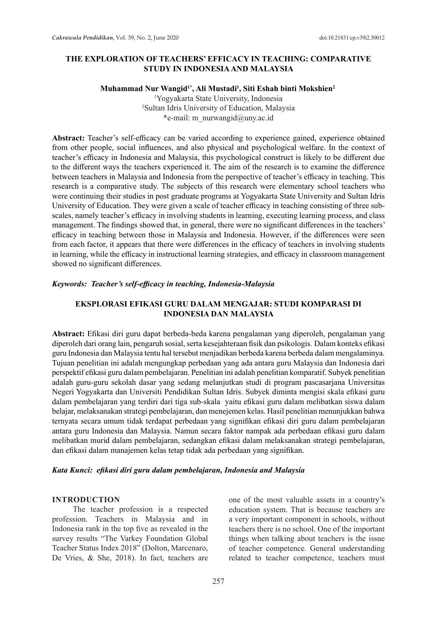# **THE EXPLORATION OF TEACHERS' EFFICACY IN TEACHING: COMPARATIVE STUDY IN INDONESIA AND MALAYSIA**

### **Muhammad Nur Wangid1\*, Ali Mustadi1 , Siti Eshah binti Mokshien2**

1 Yogyakarta State University, Indonesia 2 Sultan Idris University of Education, Malaysia \*e-mail: m\_nurwangid@uny.ac.id

**Abstract:** Teacher's self-efficacy can be varied according to experience gained, experience obtained from other people, social influences, and also physical and psychological welfare. In the context of teacher's efficacy in Indonesia and Malaysia, this psychological construct is likely to be different due to the different ways the teachers experienced it. The aim of the research is to examine the difference between teachers in Malaysia and Indonesia from the perspective of teacher's efficacy in teaching. This research is a comparative study. The subjects of this research were elementary school teachers who were continuing their studies in post graduate programs at Yogyakarta State University and Sultan Idris University of Education. They were given a scale of teacher efficacy in teaching consisting of three subscales, namely teacher's efficacy in involving students in learning, executing learning process, and class management. The findings showed that, in general, there were no significant differences in the teachers' efficacy in teaching between those in Malaysia and Indonesia. However, if the differences were seen from each factor, it appears that there were differences in the efficacy of teachers in involving students in learning, while the efficacy in instructional learning strategies, and efficacy in classroom management showed no significant differences.

#### *Keywords:**Teacher's self-efficacy in teaching, Indonesia-Malaysia*

## **EKSPLORASI EFIKASI GURU DALAM MENGAJAR: STUDI KOMPARASI DI INDONESIA DAN MALAYSIA**

**Abstract:** Efikasi diri guru dapat berbeda-beda karena pengalaman yang diperoleh, pengalaman yang diperoleh dari orang lain, pengaruh sosial, serta kesejahteraan fisik dan psikologis*.* Dalam konteks efikasi guru Indonesia dan Malaysia tentu hal tersebut menjadikan berbeda karena berbeda dalam mengalaminya. Tujuan penelitian ini adalah mengungkap perbedaan yang ada antara guru Malaysia dan Indonesia dari perspektif efikasi guru dalam pembelajaran. Penelitian ini adalah penelitian komparatif. Subyek penelitian adalah guru-guru sekolah dasar yang sedang melanjutkan studi di program pascasarjana Universitas Negeri Yogyakarta dan Universiti Pendidikan Sultan Idris. Subyek diminta mengisi skala efikasi guru dalam pembelajaran yang terdiri dari tiga sub-skala yaitu efikasi guru dalam melibatkan siswa dalam belajar, melaksanakan strategi pembelajaran, dan menejemen kelas. Hasil penelitian menunjukkan bahwa ternyata secara umum tidak terdapat perbedaan yang signifikan efikasi diri guru dalam pembelajaran antara guru Indonesia dan Malaysia. Namun secara faktor nampak ada perbedaan efikasi guru dalam melibatkan murid dalam pembelajaran, sedangkan efikasi dalam melaksanakan strategi pembelajaran, dan efikasi dalam manajemen kelas tetap tidak ada perbedaan yang signifikan.

### *Kata Kunci:**efikasi diri guru dalam pembelajaran, Indonesia and Malaysia*

#### **INTRODUCTION**

The teacher profession is a respected profession. Teachers in Malaysia and in Indonesia rank in the top five as revealed in the survey results "The Varkey Foundation Global Teacher Status Index 2018" (Dolton, Marcenaro, De Vries, & She, 2018). In fact, teachers are one of the most valuable assets in a country's education system. That is because teachers are a very important component in schools, without teachers there is no school. One of the important things when talking about teachers is the issue of teacher competence. General understanding related to teacher competence, teachers must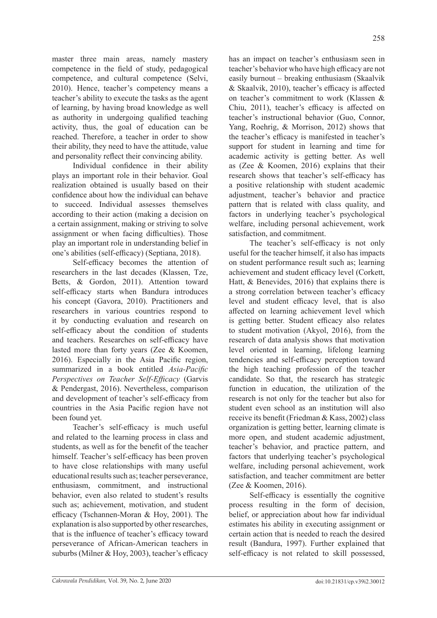master three main areas, namely mastery competence in the field of study, pedagogical competence, and cultural competence (Selvi, 2010). Hence, teacher's competency means a teacher's ability to execute the tasks as the agent of learning, by having broad knowledge as well as authority in undergoing qualified teaching activity, thus, the goal of education can be reached. Therefore, a teacher in order to show their ability, they need to have the attitude, value and personality reflect their convincing ability.

Individual confidence in their ability plays an important role in their behavior. Goal realization obtained is usually based on their confidence about how the individual can behave to succeed. Individual assesses themselves according to their action (making a decision on a certain assignment, making or striving to solve assignment or when facing difficulties). Those play an important role in understanding belief in one's abilities (self-efficacy) (Septiana, 2018).

Self-efficacy becomes the attention of researchers in the last decades (Klassen, Tze, Betts, & Gordon, 2011). Attention toward self-efficacy starts when Bandura introduces his concept (Gavora, 2010). Practitioners and researchers in various countries respond to it by conducting evaluation and research on self-efficacy about the condition of students and teachers. Researches on self-efficacy have lasted more than forty years (Zee & Koomen, 2016). Especially in the Asia Pacific region, summarized in a book entitled *Asia-Pacific Perspectives on Teacher Self-Efficacy* (Garvis & Pendergast, 2016). Nevertheless, comparison and development of teacher's self-efficacy from countries in the Asia Pacific region have not been found yet.

Teacher's self-efficacy is much useful and related to the learning process in class and students, as well as for the benefit of the teacher himself. Teacher's self-efficacy has been proven to have close relationships with many useful educational results such as; teacher perseverance, enthusiasm, commitment, and instructional behavior, even also related to student's results such as; achievement, motivation, and student efficacy (Tschannen-Moran & Hoy, 2001). The explanation is also supported by other researches, that is the influence of teacher's efficacy toward perseverance of African-American teachers in suburbs (Milner & Hoy, 2003), teacher's efficacy

has an impact on teacher's enthusiasm seen in teacher's behavior who have high efficacy are not easily burnout – breaking enthusiasm (Skaalvik & Skaalvik, 2010), teacher's efficacy is affected on teacher's commitment to work (Klassen & Chiu, 2011), teacher's efficacy is affected on teacher's instructional behavior (Guo, Connor, Yang, Roehrig, & Morrison, 2012) shows that the teacher's efficacy is manifested in teacher's support for student in learning and time for academic activity is getting better. As well as (Zee & Koomen, 2016) explains that their research shows that teacher's self-efficacy has a positive relationship with student academic adjustment, teacher's behavior and practice pattern that is related with class quality, and factors in underlying teacher's psychological welfare, including personal achievement, work satisfaction, and commitment.

The teacher's self-efficacy is not only useful for the teacher himself, it also has impacts on student performance result such as; learning achievement and student efficacy level (Corkett, Hatt, & Benevides, 2016) that explains there is a strong correlation between teacher's efficacy level and student efficacy level, that is also affected on learning achievement level which is getting better. Student efficacy also relates to student motivation (Akyol, 2016), from the research of data analysis shows that motivation level oriented in learning, lifelong learning tendencies and self-efficacy perception toward the high teaching profession of the teacher candidate. So that, the research has strategic function in education, the utilization of the research is not only for the teacher but also for student even school as an institution will also receive its benefit (Friedman & Kass, 2002) class organization is getting better, learning climate is more open, and student academic adjustment, teacher's behavior, and practice pattern, and factors that underlying teacher's psychological welfare, including personal achievement, work satisfaction, and teacher commitment are better (Zee & Koomen, 2016).

Self-efficacy is essentially the cognitive process resulting in the form of decision, belief, or appreciation about how far individual estimates his ability in executing assignment or certain action that is needed to reach the desired result (Bandura, 1997). Further explained that self-efficacy is not related to skill possessed,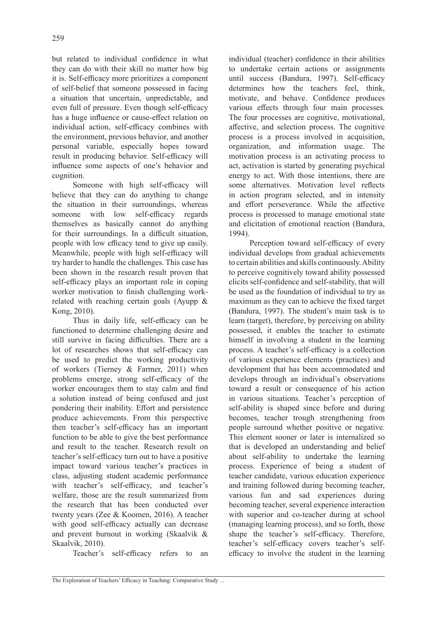but related to individual confidence in what they can do with their skill no matter how big it is. Self-efficacy more prioritizes a component of self-belief that someone possessed in facing a situation that uncertain, unpredictable, and even full of pressure. Even though self-efficacy has a huge influence or cause-effect relation on individual action, self-efficacy combines with the environment, previous behavior, and another personal variable, especially hopes toward result in producing behavior. Self-efficacy will influence some aspects of one's behavior and cognition.

Someone with high self-efficacy will believe that they can do anything to change the situation in their surroundings, whereas someone with low self-efficacy regards themselves as basically cannot do anything for their surroundings. In a difficult situation, people with low efficacy tend to give up easily. Meanwhile, people with high self-efficacy will try harder to handle the challenges. This case has been shown in the research result proven that self-efficacy plays an important role in coping worker motivation to finish challenging workrelated with reaching certain goals (Ayupp & Kong, 2010).

Thus in daily life, self-efficacy can be functioned to determine challenging desire and still survive in facing difficulties. There are a lot of researches shows that self-efficacy can be used to predict the working productivity of workers (Tierney & Farmer, 2011) when problems emerge, strong self-efficacy of the worker encourages them to stay calm and find a solution instead of being confused and just pondering their inability. Effort and persistence produce achievements. From this perspective then teacher's self-efficacy has an important function to be able to give the best performance and result to the teacher. Research result on teacher's self-efficacy turn out to have a positive impact toward various teacher's practices in class, adjusting student academic performance with teacher's self-efficacy, and teacher's welfare, those are the result summarized from the research that has been conducted over twenty years (Zee & Koomen, 2016). A teacher with good self-efficacy actually can decrease and prevent burnout in working (Skaalvik & Skaalvik, 2010).

Teacher's self-efficacy refers to an

individual (teacher) confidence in their abilities to undertake certain actions or assignments until success (Bandura, 1997). Self-efficacy determines how the teachers feel, think, motivate, and behave. Confidence produces various effects through four main processes. The four processes are cognitive, motivational, affective, and selection process. The cognitive process is a process involved in acquisition, organization, and information usage. The motivation process is an activating process to act, activation is started by generating psychical energy to act. With those intentions, there are some alternatives. Motivation level reflects in action program selected, and in intensity and effort perseverance. While the affective process is processed to manage emotional state and elicitation of emotional reaction (Bandura, 1994).

Perception toward self-efficacy of every individual develops from gradual achievements to certain abilities and skills continuously. Ability to perceive cognitively toward ability possessed elicits self-confidence and self-stability, that will be used as the foundation of individual to try as maximum as they can to achieve the fixed target (Bandura, 1997). The student's main task is to learn (target), therefore, by perceiving on ability possessed, it enables the teacher to estimate himself in involving a student in the learning process. A teacher's self-efficacy is a collection of various experience elements (practices) and development that has been accommodated and develops through an individual's observations toward a result or consequence of his action in various situations. Teacher's perception of self-ability is shaped since before and during becomes, teacher trough strengthening from people surround whether positive or negative. This element sooner or later is internalized so that is developed an understanding and belief about self-ability to undertake the learning process. Experience of being a student of teacher candidate, various education experience and training followed during becoming teacher, various fun and sad experiences during becoming teacher, several experience interaction with superior and co-teacher during at school (managing learning process), and so forth, those shape the teacher's self-efficacy. Therefore, teacher's self-efficacy covers teacher's selfefficacy to involve the student in the learning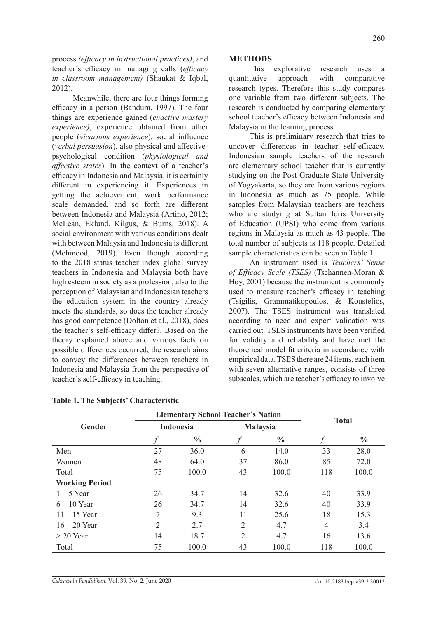process *(efficacy in instructional practices)*, and teacher's efficacy in managing calls (*efficacy in classroom management)* (Shaukat & Iqbal, 2012).

Meanwhile, there are four things forming efficacy in a person (Bandura, 1997). The four things are experience gained (*enactive mastery experience)*, experience obtained from other people (*vicarious experience*), social influence (*verbal persuasion*), also physical and affectivepsychological condition (*physiological and affective states*). In the context of a teacher's efficacy in Indonesia and Malaysia, it is certainly different in experiencing it. Experiences in getting the achievement, work performance scale demanded, and so forth are different between Indonesia and Malaysia (Artino, 2012; McLean, Eklund, Kilgus, & Burns, 2018). A social environment with various conditions dealt with between Malaysia and Indonesia is different (Mehmood, 2019). Even though according to the 2018 status teacher index global survey teachers in Indonesia and Malaysia both have high esteem in society as a profession, also to the perception of Malaysian and Indonesian teachers the education system in the country already meets the standards, so does the teacher already has good competence (Dolton et al., 2018), does the teacher's self-efficacy differ?. Based on the theory explained above and various facts on possible differences occurred, the research aims to convey the differences between teachers in Indonesia and Malaysia from the perspective of teacher's self-efficacy in teaching.

# **METHODS**

This explorative research uses a quantitative approach with comparative research types. Therefore this study compares one variable from two different subjects. The research is conducted by comparing elementary school teacher's efficacy between Indonesia and Malaysia in the learning process.

This is preliminary research that tries to uncover differences in teacher self-efficacy. Indonesian sample teachers of the research are elementary school teacher that is currently studying on the Post Graduate State University of Yogyakarta, so they are from various regions in Indonesia as much as 75 people. While samples from Malaysian teachers are teachers who are studying at Sultan Idris University of Education (UPSI) who come from various regions in Malaysia as much as 43 people. The total number of subjects is 118 people. Detailed sample characteristics can be seen in Table 1.

An instrument used is *Teachers' Sense of Efficacy Scale (TSES)* (Tschannen-Moran & Hoy, 2001) because the instrument is commonly used to measure teacher's efficacy in teaching (Tsigilis, Grammatikopoulos, & Koustelios, 2007). The TSES instrument was translated according to need and expert validation was carried out. TSES instruments have been verified for validity and reliability and have met the theoretical model fit criteria in accordance with empirical data. TSES there are 24 items, each item with seven alternative ranges, consists of three subscales, which are teacher's efficacy to involve

|                       |                | <b>Elementary School Teacher's Nation</b> |                |                 |     |               |  |  |
|-----------------------|----------------|-------------------------------------------|----------------|-----------------|-----|---------------|--|--|
| Gender                |                | Indonesia                                 |                | <b>Malaysia</b> |     | <b>Total</b>  |  |  |
|                       |                | $\frac{0}{0}$                             |                | $\frac{0}{0}$   |     | $\frac{0}{0}$ |  |  |
| Men                   | 27             | 36.0                                      | 6              | 14.0            | 33  | 28.0          |  |  |
| Women                 | 48             | 64.0                                      | 37             | 86.0            | 85  | 72.0          |  |  |
| Total                 | 75             | 100.0                                     | 43             | 100.0           | 118 | 100.0         |  |  |
| <b>Working Period</b> |                |                                           |                |                 |     |               |  |  |
| $1 - 5$ Year          | 26             | 34.7                                      | 14             | 32.6            | 40  | 33.9          |  |  |
| $6 - 10$ Year         | 26             | 34.7                                      | 14             | 32.6            | 40  | 33.9          |  |  |
| $11 - 15$ Year        | 7              | 9.3                                       | 11             | 25.6            | 18  | 15.3          |  |  |
| $16 - 20$ Year        | $\overline{2}$ | 2.7                                       | $\overline{2}$ | 4.7             | 4   | 3.4           |  |  |
| $>$ 20 Year           | 14             | 18.7                                      | $\overline{2}$ | 4.7             | 16  | 13.6          |  |  |
| Total                 | 75             | 100.0                                     | 43             | 100.0           | 118 | 100.0         |  |  |

### **Table 1. The Subjects' Characteristic**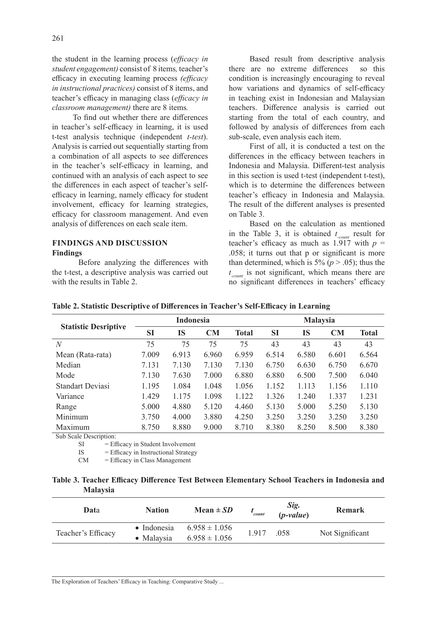the student in the learning process (*efficacy in student engagement)* consist of 8 items*,* teacher's efficacy in executing learning process *(efficacy in instructional practices)* consist of 8 items, and teacher's efficacy in managing class (*efficacy in classroom management)* there are 8 items*.*

To find out whether there are differences in teacher's self-efficacy in learning, it is used t-test analysis technique (independent *t-test*). Analysis is carried out sequentially starting from a combination of all aspects to see differences in the teacher's self-efficacy in learning, and continued with an analysis of each aspect to see the differences in each aspect of teacher's selfefficacy in learning, namely efficacy for student involvement, efficacy for learning strategies, efficacy for classroom management. And even analysis of differences on each scale item.

### **FINDINGS AND DISCUSSION Findings**

Before analyzing the differences with the t-test, a descriptive analysis was carried out with the results in Table 2.

Based result from descriptive analysis there are no extreme differences so this condition is increasingly encouraging to reveal how variations and dynamics of self-efficacy in teaching exist in Indonesian and Malaysian teachers. Difference analysis is carried out starting from the total of each country, and followed by analysis of differences from each sub-scale, even analysis each item.

First of all, it is conducted a test on the differences in the efficacy between teachers in Indonesia and Malaysia. Different-test analysis in this section is used t-test (independent t-test), which is to determine the differences between teacher's efficacy in Indonesia and Malaysia. The result of the different analyses is presented on Table 3.

Based on the calculation as mentioned in the Table 3, it is obtained  $t_{count}$  result for teacher's efficacy as much as  $1.917$  with  $p =$ .058; it turns out that p or significant is more than determined, which is  $5\%$  ( $p > .05$ ); thus the *t -count* is not significant, which means there are no significant differences in teachers' efficacy

| <b>Statistic Desriptive</b> | <b>Indonesia</b> |       |           |              | <b>Malaysia</b> |       |       |              |
|-----------------------------|------------------|-------|-----------|--------------|-----------------|-------|-------|--------------|
|                             | <b>SI</b>        | IS    | <b>CM</b> | <b>Total</b> | <b>SI</b>       | IS    | CM    | <b>Total</b> |
| $\overline{N}$              | 75               | 75    | 75        | 75           | 43              | 43    | 43    | 43           |
| Mean (Rata-rata)            | 7.009            | 6.913 | 6.960     | 6.959        | 6.514           | 6.580 | 6.601 | 6.564        |
| Median                      | 7.131            | 7.130 | 7.130     | 7.130        | 6.750           | 6.630 | 6.750 | 6.670        |
| Mode                        | 7.130            | 7.630 | 7.000     | 6.880        | 6.880           | 6.500 | 7.500 | 6.040        |
| Standart Deviasi            | 1.195            | 1.084 | 1.048     | 1.056        | 1.152           | 1.113 | 1.156 | 1.110        |
| Variance                    | 1.429            | 1.175 | 1.098     | 1.122        | 1.326           | 1.240 | 1.337 | 1.231        |
| Range                       | 5.000            | 4.880 | 5.120     | 4.460        | 5.130           | 5.000 | 5.250 | 5.130        |
| Minimum                     | 3.750            | 4.000 | 3.880     | 4.250        | 3.250           | 3.250 | 3.250 | 3.250        |
| Maximum                     | 8.750            | 8.880 | 9.000     | 8.710        | 8.380           | 8.250 | 8.500 | 8.380        |

### **Table 2. Statistic Descriptive of Differences in Teacher's Self-Efficacy in Learning**

Sub Scale Description:

SI = Efficacy in Student Involvement

IS = Efficacy in Instructional Strategy

CM = Efficacy in Class Management

### **Table 3. Teacher Efficacy Difference Test Between Elementary School Teachers in Indonesia and Malaysia**

| Data               | <b>Nation</b>                     | Mean $\pm SD$                          | count | Sig.<br>$(p-value)$ | <b>Remark</b>   |
|--------------------|-----------------------------------|----------------------------------------|-------|---------------------|-----------------|
| Teacher's Efficacy | $\bullet$ Indonesia<br>• Malaysia | $6.958 \pm 1.056$<br>$6.958 \pm 1.056$ | 1.917 | .058                | Not Significant |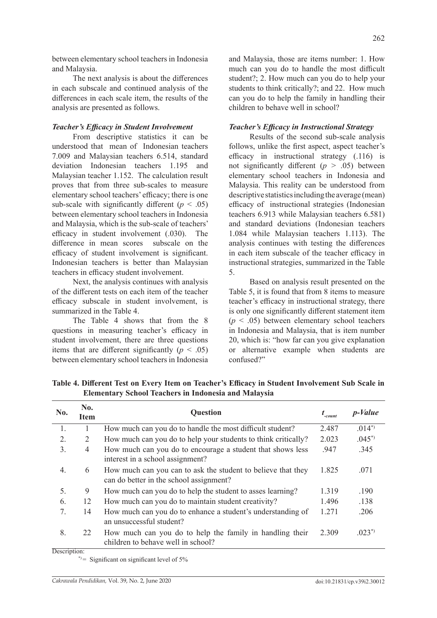between elementary school teachers in Indonesia and Malaysia.

The next analysis is about the differences in each subscale and continued analysis of the differences in each scale item, the results of the analysis are presented as follows.

# *Teacher's Efficacy in Student Involvement*

From descriptive statistics it can be understood that mean of Indonesian teachers 7.009 and Malaysian teachers 6.514, standard deviation Indonesian teachers 1.195 and Malaysian teacher 1.152. The calculation result proves that from three sub-scales to measure elementary school teachers' efficacy; there is one sub-scale with significantly different  $(p < .05)$ between elementary school teachers in Indonesia and Malaysia, which is the sub-scale of teachers' efficacy in student involvement (.030). The difference in mean scores subscale on the efficacy of student involvement is significant. Indonesian teachers is better than Malaysian teachers in efficacy student involvement.

Next, the analysis continues with analysis of the different tests on each item of the teacher efficacy subscale in student involvement, is summarized in the Table 4.

The Table 4 shows that from the 8 questions in measuring teacher's efficacy in student involvement, there are three questions items that are different significantly  $(p < .05)$ between elementary school teachers in Indonesia and Malaysia, those are items number: 1. How much can you do to handle the most difficult student?; 2. How much can you do to help your students to think critically?; and 22. How much can you do to help the family in handling their children to behave well in school?

# *Teacher's Efficacy in Instructional Strategy*

Results of the second sub-scale analysis follows, unlike the first aspect, aspect teacher's efficacy in instructional strategy (.116) is not significantly different  $(p > .05)$  between elementary school teachers in Indonesia and Malaysia. This reality can be understood from descriptive statistics including the average (mean) efficacy of instructional strategies (Indonesian teachers 6.913 while Malaysian teachers 6.581) and standard deviations (Indonesian teachers 1.084 while Malaysian teachers 1.113). The analysis continues with testing the differences in each item subscale of the teacher efficacy in instructional strategies, summarized in the Table 5.

Based on analysis result presented on the Table 5, it is found that from 8 items to measure teacher's efficacy in instructional strategy, there is only one significantly different statement item  $(p \leq .05)$  between elementary school teachers in Indonesia and Malaysia, that is item number 20, which is: "how far can you give explanation or alternative example when students are confused?"

| No.                                   | No.<br><b>Item</b> | <b>Question</b>                                                                                         | $t_{\text{-}count}$ | <i>p</i> - <i>Value</i> |
|---------------------------------------|--------------------|---------------------------------------------------------------------------------------------------------|---------------------|-------------------------|
| 1.                                    |                    | How much can you do to handle the most difficult student?                                               | 2.487               | $.014^{*}$              |
| 2.                                    | 2                  | How much can you do to help your students to think critically?                                          | 2.023               | $.045^{*}$              |
| 3.                                    | 4                  | How much can you do to encourage a student that shows less<br>interest in a school assignment?          | .947                | .345                    |
| 4.                                    | 6                  | How much can you can to ask the student to believe that they<br>can do better in the school assignment? | 1.825               | .071                    |
| 5.                                    | 9                  | How much can you do to help the student to asses learning?                                              | 1.319               | .190                    |
| 6.                                    | 12                 | How much can you do to maintain student creativity?                                                     | 1.496               | .138                    |
| 7.                                    | 14                 | How much can you do to enhance a student's understanding of<br>an unsuccessful student?                 | 1.271               | .206                    |
| 8.<br>$\cdot$ $\cdot$<br>$\mathbf{r}$ | 22                 | How much can you do to help the family in handling their<br>children to behave well in school?          | 2.309               | $.023^{*}$              |

**Table 4. Different Test on Every Item on Teacher's Efficacy in Student Involvement Sub Scale in Elementary School Teachers in Indonesia and Malaysia**

Description:

 $*$  = Significant on significant level of 5%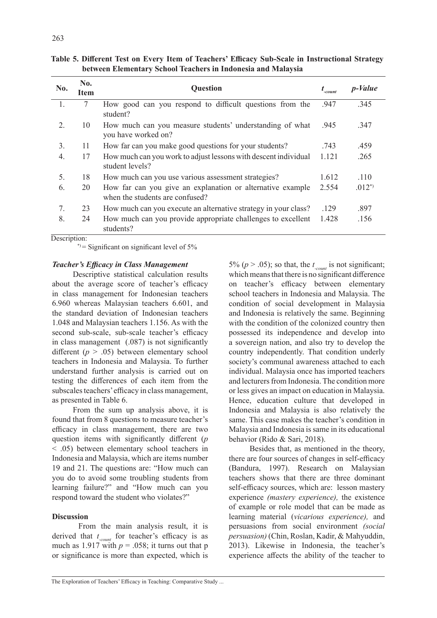| No. | No.<br>Item | Question                                                                                      | $t_{\text{-}count}$ | <i>p</i> - <i>Value</i> |
|-----|-------------|-----------------------------------------------------------------------------------------------|---------------------|-------------------------|
| 1.  | 7           | How good can you respond to difficult questions from the<br>student?                          | .947                | .345                    |
| 2.  | 10          | How much can you measure students' understanding of what<br>you have worked on?               | .945                | .347                    |
| 3.  | 11          | How far can you make good questions for your students?                                        | .743                | .459                    |
| 4.  | 17          | How much can you work to adjust lessons with descent individual<br>student levels?            | 1.121               | .265                    |
| 5.  | 18          | How much can you use various assessment strategies?                                           | 1.612               | .110                    |
| 6.  | 20          | How far can you give an explanation or alternative example<br>when the students are confused? | 2.554               | $.012^{*}$              |
| 7.  | 23          | How much can you execute an alternative strategy in your class?                               | .129                | .897                    |
| 8.  | 24          | How much can you provide appropriate challenges to excellent<br>students?                     | 1.428               | .156                    |

|  |                                                              |  | Table 5. Different Test on Every Item of Teachers' Efficacy Sub-Scale in Instructional Strategy |  |
|--|--------------------------------------------------------------|--|-------------------------------------------------------------------------------------------------|--|
|  | between Elementary School Teachers in Indonesia and Malaysia |  |                                                                                                 |  |

Description:

 $*$  = Significant on significant level of 5%

#### *Teacher's Efficacy in Class Management*

Descriptive statistical calculation results about the average score of teacher's efficacy in class management for Indonesian teachers 6.960 whereas Malaysian teachers 6.601, and the standard deviation of Indonesian teachers 1.048 and Malaysian teachers 1.156. As with the second sub-scale, sub-scale teacher's efficacy in class management (.087) is not significantly different (*p* > .05) between elementary school teachers in Indonesia and Malaysia. To further understand further analysis is carried out on testing the differences of each item from the subscales teachers' efficacy in class management, as presented in Table 6.

From the sum up analysis above, it is found that from 8 questions to measure teacher's efficacy in class management, there are two question items with significantly different (*p*  < .05) between elementary school teachers in Indonesia and Malaysia, which are items number 19 and 21. The questions are: "How much can you do to avoid some troubling students from learning failure?" and "How much can you respond toward the student who violates?"

### **Discussion**

From the main analysis result, it is derived that *t -count* for teacher's efficacy is as much as 1.917 with  $p = .058$ ; it turns out that p or significance is more than expected, which is

5% ( $p > .05$ ); so that, the  $t_{\text{count}}$  is not significant; which means that there is no significant difference on teacher's efficacy between elementary school teachers in Indonesia and Malaysia. The condition of social development in Malaysia and Indonesia is relatively the same. Beginning with the condition of the colonized country then possessed its independence and develop into a sovereign nation, and also try to develop the country independently. That condition underly society's communal awareness attached to each individual. Malaysia once has imported teachers and lecturers from Indonesia. The condition more or less gives an impact on education in Malaysia. Hence, education culture that developed in Indonesia and Malaysia is also relatively the same. This case makes the teacher's condition in Malaysia and Indonesia is same in its educational behavior (Rido & Sari, 2018).

Besides that, as mentioned in the theory, there are four sources of changes in self-efficacy (Bandura, 1997). Research on Malaysian teachers shows that there are three dominant self-efficacy sources, which are: lesson mastery experience *(mastery experience),* the existence of example or role model that can be made as learning material (*vicarious experience),* and persuasions from social environment *(social persuasion)* (Chin, Roslan, Kadir, & Mahyuddin, 2013). Likewise in Indonesia, the teacher's experience affects the ability of the teacher to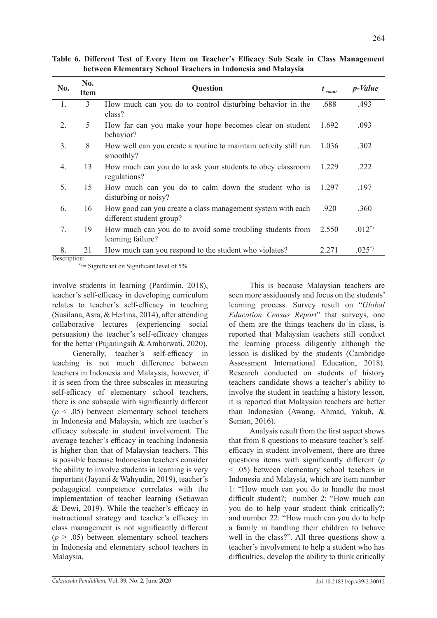| No.          | No.<br><b>Item</b> | <b>Question</b>                                                                         | $t_{\text{-count}}$ | p-Value    |
|--------------|--------------------|-----------------------------------------------------------------------------------------|---------------------|------------|
| 1.           | 3                  | How much can you do to control disturbing behavior in the<br>class?                     | .688                | .493       |
| 2.           | 5                  | How far can you make your hope becomes clear on student<br>behavior?                    | 1.692               | .093       |
| 3.           | 8                  | How well can you create a routine to maintain activity still run<br>smoothly?           | 1.036               | .302       |
| 4.           | 13                 | How much can you do to ask your students to obey classroom<br>regulations?              | 1.229               | .222       |
| 5.           | 15                 | How much can you do to calm down the student who is<br>disturbing or noisy?             | 1.297               | .197       |
| 6.           | 16                 | How good can you create a class management system with each<br>different student group? | .920                | .360       |
| 7.           | 19                 | How much can you do to avoid some troubling students from<br>learning failure?          | 2.550               | $.012^{*}$ |
| 8.           | 21                 | How much can you respond to the student who violates?                                   | 2.271               | $.025^{*}$ |
| Description: |                    |                                                                                         |                     |            |

**Table 6. Different Test of Every Item on Teacher's Efficacy Sub Scale in Class Management between Elementary School Teachers in Indonesia and Malaysia**

\* $)$  = Significant on Significant level of 5%

involve students in learning (Pardimin, 2018), teacher's self-efficacy in developing curriculum relates to teacher's self-efficacy in teaching (Susilana, Asra, & Herlina, 2014), after attending collaborative lectures (experiencing social persuasion) the teacher's self-efficacy changes for the better (Pujaningsih & Ambarwati, 2020).

Generally, teacher's self-efficacy in teaching is not much difference between teachers in Indonesia and Malaysia, however, if it is seen from the three subscales in measuring self-efficacy of elementary school teachers, there is one subscale with significantly different  $(p \leq .05)$  between elementary school teachers in Indonesia and Malaysia, which are teacher's efficacy subscale in student involvement. The average teacher's efficacy in teaching Indonesia is higher than that of Malaysian teachers. This is possible because Indonesian teachers consider the ability to involve students in learning is very important (Jayanti & Wahyudin, 2019), teacher's pedagogical competence correlates with the implementation of teacher learning (Setiawan & Dewi, 2019). While the teacher's efficacy in instructional strategy and teacher's efficacy in class management is not significantly different  $(p > .05)$  between elementary school teachers in Indonesia and elementary school teachers in Malaysia.

This is because Malaysian teachers are seen more assiduously and focus on the students' learning process. Survey result on "*Global Education Census Report*" that surveys, one of them are the things teachers do in class, is reported that Malaysian teachers still conduct the learning process diligently although the lesson is disliked by the students (Cambridge Assessment International Education, 2018). Research conducted on students of history teachers candidate shows a teacher's ability to involve the student in teaching a history lesson, it is reported that Malaysian teachers are better than Indonesian (Awang, Ahmad, Yakub, & Seman, 2016).

Analysis result from the first aspect shows that from 8 questions to measure teacher's selfefficacy in student involvement, there are three questions items with significantly different (*p* < .05) between elementary school teachers in Indonesia and Malaysia, which are item number 1: "How much can you do to handle the most difficult student?; number 2: "How much can you do to help your student think critically?; and number 22: "How much can you do to help a family in handling their children to behave well in the class?". All three questions show a teacher's involvement to help a student who has difficulties, develop the ability to think critically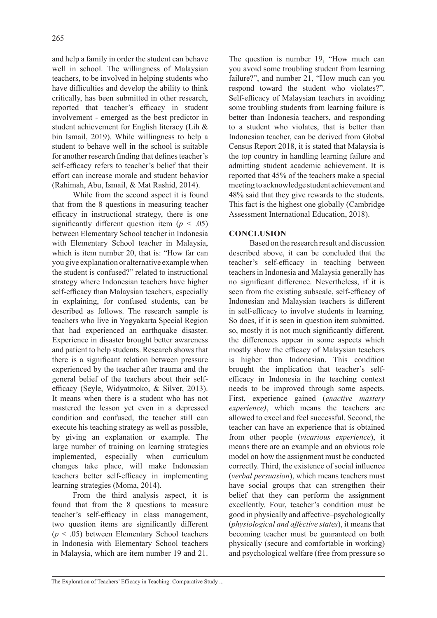and help a family in order the student can behave well in school. The willingness of Malaysian teachers, to be involved in helping students who have difficulties and develop the ability to think critically, has been submitted in other research, reported that teacher's efficacy in student involvement - emerged as the best predictor in student achievement for English literacy (Lih & bin Ismail, 2019). While willingness to help a student to behave well in the school is suitable for another research finding that defines teacher's self-efficacy refers to teacher's belief that their effort can increase morale and student behavior (Rahimah, Abu, Ismail, & Mat Rashid, 2014).

While from the second aspect it is found that from the 8 questions in measuring teacher efficacy in instructional strategy, there is one significantly different question item  $(p < .05)$ between Elementary School teacher in Indonesia with Elementary School teacher in Malaysia, which is item number 20, that is: "How far can you give explanation or alternative example when the student is confused?" related to instructional strategy where Indonesian teachers have higher self-efficacy than Malaysian teachers, especially in explaining, for confused students, can be described as follows. The research sample is teachers who live in Yogyakarta Special Region that had experienced an earthquake disaster. Experience in disaster brought better awareness and patient to help students. Research shows that there is a significant relation between pressure experienced by the teacher after trauma and the general belief of the teachers about their selfefficacy (Seyle, Widyatmoko, & Silver, 2013). It means when there is a student who has not mastered the lesson yet even in a depressed condition and confused, the teacher still can execute his teaching strategy as well as possible, by giving an explanation or example. The large number of training on learning strategies implemented, especially when curriculum changes take place, will make Indonesian teachers better self-efficacy in implementing learning strategies (Moma, 2014).

From the third analysis aspect, it is found that from the 8 questions to measure teacher's self-efficacy in class management, two question items are significantly different (*p* < .05) between Elementary School teachers in Indonesia with Elementary School teachers in Malaysia, which are item number 19 and 21. The question is number 19, "How much can you avoid some troubling student from learning failure?", and number 21, "How much can you respond toward the student who violates?". Self-efficacy of Malaysian teachers in avoiding some troubling students from learning failure is better than Indonesia teachers, and responding to a student who violates, that is better than Indonesian teacher, can be derived from Global Census Report 2018, it is stated that Malaysia is the top country in handling learning failure and admitting student academic achievement. It is reported that 45% of the teachers make a special meeting to acknowledge student achievement and 48% said that they give rewards to the students. This fact is the highest one globally (Cambridge Assessment International Education, 2018).

# **CONCLUSION**

Based on the research result and discussion described above, it can be concluded that the teacher's self-efficacy in teaching between teachers in Indonesia and Malaysia generally has no significant difference. Nevertheless, if it is seen from the existing subscale, self-efficacy of Indonesian and Malaysian teachers is different in self-efficacy to involve students in learning. So does, if it is seen in question item submitted, so, mostly it is not much significantly different, the differences appear in some aspects which mostly show the efficacy of Malaysian teachers is higher than Indonesian. This condition brought the implication that teacher's selfefficacy in Indonesia in the teaching context needs to be improved through some aspects. First, experience gained (*enactive mastery experience)*, which means the teachers are allowed to excel and feel successful. Second, the teacher can have an experience that is obtained from other people (*vicarious experience*), it means there are an example and an obvious role model on how the assignment must be conducted correctly. Third, the existence of social influence (*verbal persuasion*), which means teachers must have social groups that can strengthen their belief that they can perform the assignment excellently. Four, teacher's condition must be good in physically and affective–psychologically (*physiological and affective states*), it means that becoming teacher must be guaranteed on both physically (secure and comfortable in working) and psychological welfare (free from pressure so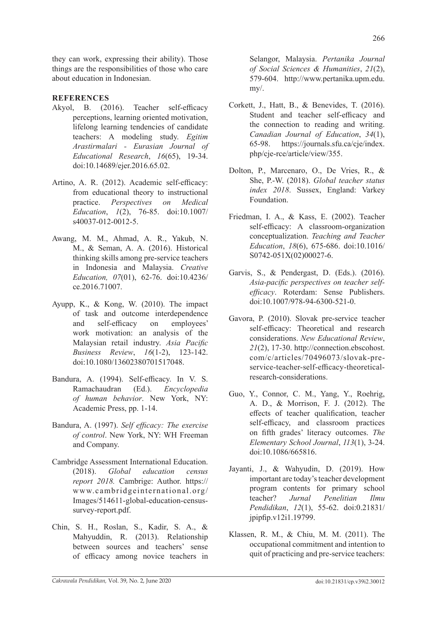they can work, expressing their ability). Those things are the responsibilities of those who care about education in Indonesian.

# **REFERENCES**

- Akyol, B. (2016). Teacher self-efficacy perceptions, learning oriented motivation, lifelong learning tendencies of candidate teachers: A modeling study. *Egitim Arastirmalari - Eurasian Journal of Educational Research*, *16*(65), 19-34. doi:10.14689/ejer.2016.65.02.
- Artino, A. R. (2012). Academic self-efficacy: from educational theory to instructional practice. *Perspectives on Medical Education*, *1*(2), 76-85. doi:10.1007/ s40037-012-0012-5.
- Awang, M. M., Ahmad, A. R., Yakub, N. M., & Seman, A. A. (2016). Historical thinking skills among pre-service teachers in Indonesia and Malaysia. *Creative Education, 07*(01), 62-76. doi:10.4236/ ce.2016.71007.
- Ayupp, K., & Kong, W. (2010). The impact of task and outcome interdependence and self-efficacy on employees' work motivation: an analysis of the Malaysian retail industry. *Asia Pacific Business Review*, *16*(1-2), 123-142. doi:10.1080/13602380701517048.
- Bandura, A. (1994). Self-efficacy. In V. S. Ramachaudran (Ed.). *Encyclopedia of human behavior*. New York, NY: Academic Press, pp. 1-14.
- Bandura, A. (1997). *Self efficacy: The exercise of control*. New York, NY: WH Freeman and Company.
- Cambridge Assessment International Education. (2018). *Global education census report 2018.* Cambrige: Author. https:// www.cambridgeinternational.org/ Images/514611-global-education-censussurvey-report.pdf.
- Chin, S. H., Roslan, S., Kadir, S. A., & Mahyuddin, R. (2013). Relationship between sources and teachers' sense of efficacy among novice teachers in

Selangor, Malaysia. *Pertanika Journal of Social Sciences & Humanities*, *21*(2), 579-604. http://www.pertanika.upm.edu. my/.

- Corkett, J., Hatt, B., & Benevides, T. (2016). Student and teacher self-efficacy and the connection to reading and writing. *Canadian Journal of Education*, *34*(1), 65-98. https://journals.sfu.ca/cje/index. php/cje-rce/article/view/355.
- Dolton, P., Marcenaro, O., De Vries, R., & She, P.-W. (2018). *Global teacher status index 2018*. Sussex, England: Varkey Foundation.
- Friedman, I. A., & Kass, E. (2002). Teacher self-efficacy: A classroom-organization conceptualization. *Teaching and Teacher Education*, *18*(6), 675-686. doi:10.1016/ S0742-051X(02)00027-6.
- Garvis, S., & Pendergast, D. (Eds.). (2016). *Asia-pacific perspectives on teacher selfefficacy*. Roterdam: Sense Publishers. doi:10.1007/978-94-6300-521-0.
- Gavora, P. (2010). Slovak pre-service teacher self-efficacy: Theoretical and research considerations. *New Educational Review*, *21*(2), 17-30. http://connection.ebscohost. com/c/articles/70496073/slovak-preservice-teacher-self-efficacy-theoreticalresearch-considerations.
- Guo, Y., Connor, C. M., Yang, Y., Roehrig, A. D., & Morrison, F. J. (2012). The effects of teacher qualification, teacher self-efficacy, and classroom practices on fifth grades' literacy outcomes. *The Elementary School Journal*, *113*(1), 3-24. doi:10.1086/665816.
- Jayanti, J., & Wahyudin, D. (2019). How important are today's teacher development program contents for primary school teacher? *Jurnal Penelitian Ilmu Pendidikan*, *12*(1), 55-62. doi:0.21831/ jpipfip.v12i1.19799.
- Klassen, R. M., & Chiu, M. M. (2011). The occupational commitment and intention to quit of practicing and pre-service teachers: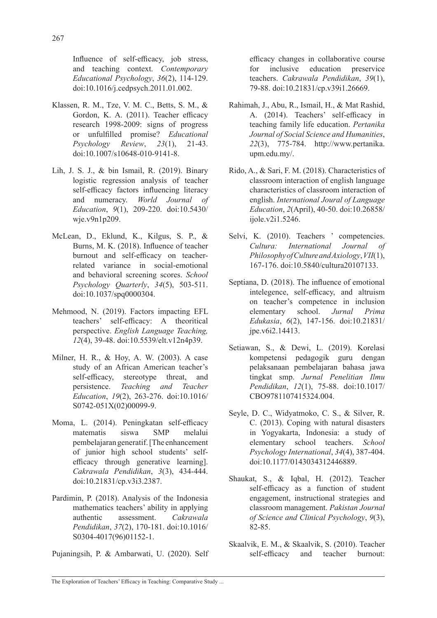Influence of self-efficacy, job stress, and teaching context. *Contemporary Educational Psychology*, *36*(2), 114-129. doi:10.1016/j.cedpsych.2011.01.002.

- Klassen, R. M., Tze, V. M. C., Betts, S. M., & Gordon, K. A. (2011). Teacher efficacy research 1998-2009: signs of progress or unfulfilled promise? *Educational Psychology Review*, *23*(1), 21-43. doi:10.1007/s10648-010-9141-8.
- Lih, J. S. J., & bin Ismail, R. (2019). Binary logistic regression analysis of teacher self-efficacy factors influencing literacy and numeracy. *World Journal of Education*, *9*(1), 209-220. doi:10.5430/ wje.v9n1p209.
- McLean, D., Eklund, K., Kilgus, S. P., & Burns, M. K. (2018). Influence of teacher burnout and self-efficacy on teacherrelated variance in social-emotional and behavioral screening scores. *School Psychology Quarterly*, *34*(5), 503-511. doi:10.1037/spq0000304.
- Mehmood, N. (2019). Factors impacting EFL teachers' self-efficacy: A theoritical perspective. *English Language Teaching, 12*(4), 39-48. doi:10.5539/elt.v12n4p39.
- Milner, H. R., & Hoy, A. W. (2003). A case study of an African American teacher's self-efficacy, stereotype threat, and persistence. *Teaching and Teacher Education*, *19*(2), 263-276. doi:10.1016/ S0742-051X(02)00099-9.
- Moma, L. (2014). Peningkatan self-efficacy matematis siswa SMP melalui pembelajaran generatif. [The enhancement of junior high school students' selfefficacy through generative learning]. *Cakrawala Pendidikan*, *3*(3), 434-444. doi:10.21831/cp.v3i3.2387.
- Pardimin, P. (2018). Analysis of the Indonesia mathematics teachers' ability in applying authentic assessment. *Cakrawala Pendidikan*, *37*(2), 170-181. doi:10.1016/ S0304-4017(96)01152-1.

Pujaningsih, P. & Ambarwati, U. (2020). Self

efficacy changes in collaborative course for inclusive education preservice teachers. *Cakrawala Pendidikan*, *39*(1), 79-88. doi:10.21831/cp.v39i1.26669.

- Rahimah, J., Abu, R., Ismail, H., & Mat Rashid, A. (2014). Teachers' self-efficacy in teaching family life education. *Pertanika Journal of Social Science and Humanities*, *22*(3), 775-784. http://www.pertanika. upm.edu.my/.
- Rido, A., & Sari, F. M. (2018). Characteristics of classroom interaction of english language characteristics of classroom interaction of english. *International Joural of Language Education*, *2*(April), 40-50. doi:10.26858/ ijole.v2i1.5246.
- Selvi, K. (2010). Teachers ' competencies. *Cultura: International Journal of Philosophy of Culture and Axiology*, *VII*(1), 167-176. doi:10.5840/cultura20107133.
- Septiana, D. (2018). The influence of emotional intelegence, self-efficacy, and altruism on teacher's competence in inclusion elementary school. *Jurnal Prima Edukasia*, *6*(2), 147-156. doi:10.21831/ jpe.v6i2.14413.
- Setiawan, S., & Dewi, L. (2019). Korelasi kompetensi pedagogik guru dengan pelaksanaan pembelajaran bahasa jawa tingkat smp. *Jurnal Penelitian Ilmu Pendidikan*, *12*(1), 75-88. doi:10.1017/ CBO9781107415324.004.
- Seyle, D. C., Widyatmoko, C. S., & Silver, R. C. (2013). Coping with natural disasters in Yogyakarta, Indonesia: a study of elementary school teachers. *School Psychology International*, *34*(4), 387-404. doi:10.1177/0143034312446889.
- Shaukat, S., & Iqbal, H. (2012). Teacher self-efficacy as a function of student engagement, instructional strategies and classroom management. *Pakistan Journal of Science and Clinical Psychology*, *9*(3), 82-85.
- Skaalvik, E. M., & Skaalvik, S. (2010). Teacher self-efficacy and teacher burnout: